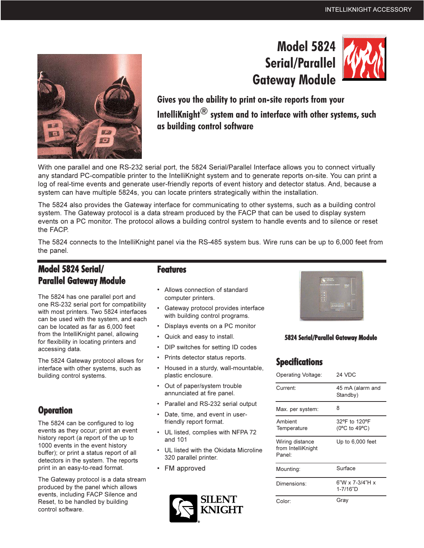# **Model 5824 Serial/Parallel Gateway Module**



Gives you the ability to print on-site reports from your IntelliKnight $^{\circledR}$  system and to interface with other systems, such as building control software

With one parallel and one RS-232 serial port, the 5824 Serial/Parallel Interface allows you to connect virtually any standard PC-compatible printer to the IntelliKnight system and to generate reports on-site. You can print a log of real-time events and generate user-friendly reports of event history and detector status. And, because a system can have multiple 5824s, you can locate printers strategically within the installation.

The 5824 also provides the Gateway interface for communicating to other systems, such as a building control system. The Gateway protocol is a data stream produced by the FACP that can be used to display system events on a PC monitor. The protocol allows a building control system to handle events and to silence or reset the FACP.

The 5824 connects to the IntelliKnight panel via the RS-485 system bus. Wire runs can be up to 6,000 feet from the panel.

# Model 5824 Serial/ **Parallel Gateway Module**

The 5824 has one parallel port and one RS-232 serial port for compatibility with most printers. Two 5824 interfaces can be used with the system, and each can be located as far as 6,000 feet from the IntelliKnight panel, allowing for flexibility in locating printers and accessing data.

The 5824 Gateway protocol allows for interface with other systems, such as building control systems.

## **Operation**

The 5824 can be configured to log events as they occur; print an event history report (a report of the up to 1000 events in the event history buffer); or print a status report of all detectors in the system. The reports print in an easy-to-read format.

The Gateway protocol is a data stream produced by the panel which allows events, including FACP Silence and Reset, to be handled by building control software.

### **Features**

- Allows connection of standard computer printers.
- Gateway protocol provides interface with building control programs.
- Displays events on a PC monitor
- Quick and easy to install.
- DIP switches for setting ID codes
- Prints detector status reports.
- Housed in a sturdy, wall-mountable, plastic enclosure.
- Out of paper/system trouble annunciated at fire panel.
- Parallel and RS-232 serial output
- Date, time, and event in userfriendly report format.
- UL listed, complies with NFPA 72 and 101
- UL listed with the Okidata Microline 320 parallel printer.
- FM approved





#### **5824 Serial/Parallel Gateway Module**

# **Specifications**

| Operating Voltage:                                          | 24 VDC                                      |
|-------------------------------------------------------------|---------------------------------------------|
| Current:                                                    | 45 mA (alarm and<br>Standby)                |
| Max. per system:                                            | 8                                           |
| Ambient<br>Temperature                                      | 32°F to 120°F<br>(0°C to 49°C)              |
| Wiring distance<br>from IntelliKnight<br>Panel <sup>-</sup> | Up to 6,000 feet                            |
| Mounting:                                                   | Surface                                     |
| Dimensions:                                                 | $6"W \times 7-3/4"H \times$<br>$1 - 7/16"D$ |
| Color:                                                      | Grav                                        |